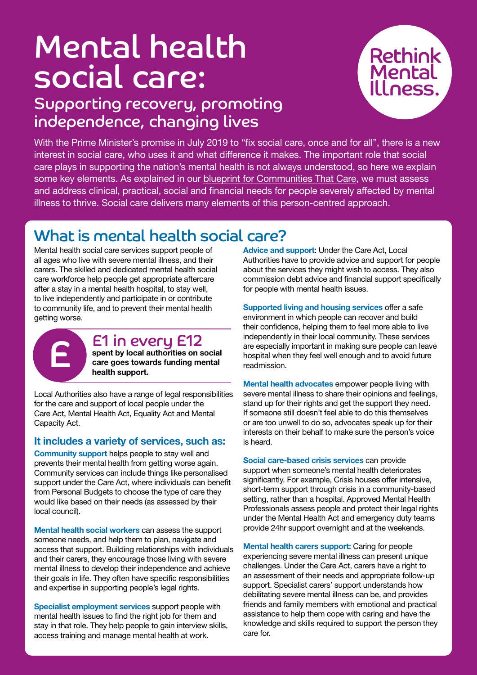# Mental health social care:

# Supporting recovery, promoting independence, changing lives



With the Prime Minister's promise in July 2019 to "fix social care, once and for all", there is a new interest in social care, who uses it and what difference it makes. The important role that social care plays in supporting the nation's mental health is not always understood, so here we explain some key elements. As explained in our [blueprint for Communities That Care,](https://www.rethink.org/get-involved/campaign-with-us/resources-and-reports/communities-that-care/#:~:text=Our%20report%20Building%20communities%20that,to%20thrive%2C%20not%20just%20survive) we must assess and address clinical, practical, social and financial needs for people severely affected by mental illness to thrive. Social care delivers many elements of this person-centred approach.

## What is mental health social care?

Mental health social care services support people of all ages who live with severe mental illness, and their carers. The skilled and dedicated mental health social care workforce help people get appropriate aftercare after a stay in a mental health hospital, to stay well, to live independently and participate in or contribute to community life, and to prevent their mental health getting worse.



### £1 in every £12 spent by local authorities on social ET IN EVENY ETZ<br>
spent by local authorities on social<br>
care goes towards funding mental<br>
health support.

health support.

Local Authorities also have a range of legal responsibilities for the care and support of local people under the Care Act, Mental Health Act, Equality Act and Mental Capacity Act.

#### It includes a variety of services, such as:

Community support helps people to stay well and prevents their mental health from getting worse again. Community services can include things like personalised support under the Care Act, where individuals can benefit from Personal Budgets to choose the type of care they would like based on their needs (as assessed by their local council).

Mental health social workers can assess the support someone needs, and help them to plan, navigate and access that support. Building relationships with individuals and their carers, they encourage those living with severe mental illness to develop their independence and achieve their goals in life. They often have specific responsibilities and expertise in supporting people's legal rights.

Specialist employment services support people with mental health issues to find the right job for them and stay in that role. They help people to gain interview skills, access training and manage mental health at work.

Advice and support: Under the Care Act, Local Authorities have to provide advice and support for people about the services they might wish to access. They also commission debt advice and financial support specifically for people with mental health issues.

Supported living and housing services offer a safe environment in which people can recover and build their confidence, helping them to feel more able to live independently in their local community. These services are especially important in making sure people can leave hospital when they feel well enough and to avoid future readmission.

Mental health advocates empower people living with severe mental illness to share their opinions and feelings, stand up for their rights and get the support they need. If someone still doesn't feel able to do this themselves or are too unwell to do so, advocates speak up for their interests on their behalf to make sure the person's voice is heard.

Social care-based crisis services can provide support when someone's mental health deteriorates significantly. For example, Crisis houses offer intensive, short-term support through crisis in a community-based setting, rather than a hospital. Approved Mental Health Professionals assess people and protect their legal rights under the Mental Health Act and emergency duty teams provide 24hr support overnight and at the weekends.

Mental health carers support: Caring for people experiencing severe mental illness can present unique challenges. Under the Care Act, carers have a right to an assessment of their needs and appropriate follow-up support. Specialist carers' support understands how debilitating severe mental illness can be, and provides friends and family members with emotional and practical assistance to help them cope with caring and have the knowledge and skills required to support the person they care for.